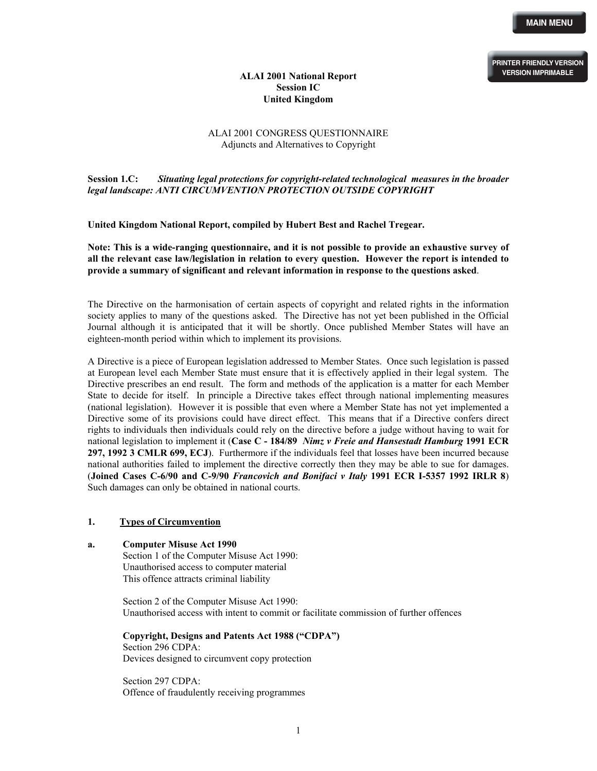**PRINTER FRIENDLY VERSION VERSION IMPRIMABLE**

# **ALAI 2001 National Report Session IC United Kingdom**

# ALAI 2001 CONGRESS QUESTIONNAIRE Adjuncts and Alternatives to Copyright

**Session 1.C:** *Situating legal protections for copyright-related technological measures in the broader legal landscape: ANTI CIRCUMVENTION PROTECTION OUTSIDE COPYRIGHT* 

**United Kingdom National Report, compiled by Hubert Best and Rachel Tregear.** 

**Note: This is a wide-ranging questionnaire, and it is not possible to provide an exhaustive survey of all the relevant case law/legislation in relation to every question. However the report is intended to provide a summary of significant and relevant information in response to the questions asked**.

The Directive on the harmonisation of certain aspects of copyright and related rights in the information society applies to many of the questions asked. The Directive has not yet been published in the Official Journal although it is anticipated that it will be shortly. Once published Member States will have an eighteen-month period within which to implement its provisions.

A Directive is a piece of European legislation addressed to Member States. Once such legislation is passed at European level each Member State must ensure that it is effectively applied in their legal system. The Directive prescribes an end result. The form and methods of the application is a matter for each Member State to decide for itself. In principle a Directive takes effect through national implementing measures (national legislation). However it is possible that even where a Member State has not yet implemented a Directive some of its provisions could have direct effect. This means that if a Directive confers direct rights to individuals then individuals could rely on the directive before a judge without having to wait for national legislation to implement it (**Case C - 184/89** *Nimz v Freie and Hansestadt Hamburg* **1991 ECR 297, 1992 3 CMLR 699, ECJ**). Furthermore if the individuals feel that losses have been incurred because national authorities failed to implement the directive correctly then they may be able to sue for damages. (**Joined Cases C-6/90 and C-9/90** *Francovich and Bonifaci v Italy* **1991 ECR I-5357 1992 IRLR 8**) Such damages can only be obtained in national courts.

#### **1. Types of Circumvention**

**a. Computer Misuse Act 1990**  Section 1 of the Computer Misuse Act 1990: Unauthorised access to computer material This offence attracts criminal liability

> Section 2 of the Computer Misuse Act 1990: Unauthorised access with intent to commit or facilitate commission of further offences

**Copyright, Designs and Patents Act 1988 ("CDPA")**  Section 296 CDPA: Devices designed to circumvent copy protection

Section 297 CDPA: Offence of fraudulently receiving programmes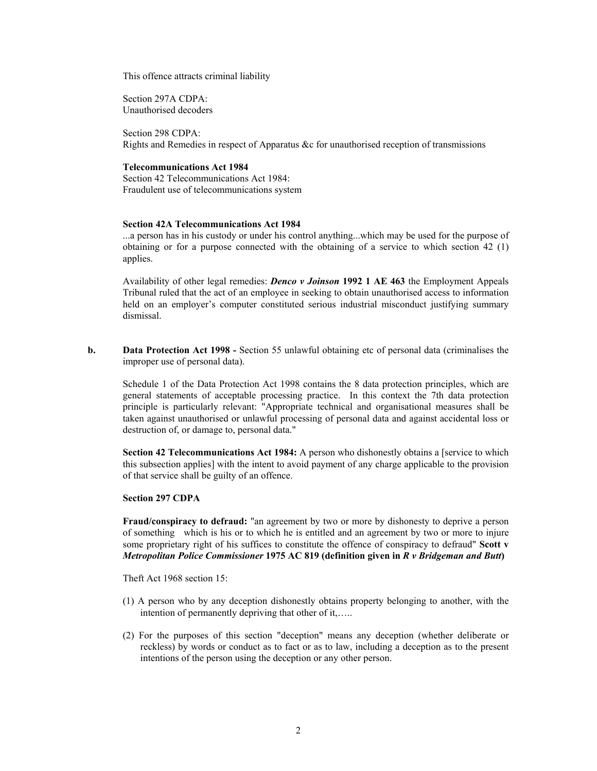This offence attracts criminal liability

Section 297A CDPA: Unauthorised decoders

Section 298 CDPA: Rights and Remedies in respect of Apparatus &c for unauthorised reception of transmissions

## **Telecommunications Act 1984**

Section 42 Telecommunications Act 1984: Fraudulent use of telecommunications system

### **Section 42A Telecommunications Act 1984**

...a person has in his custody or under his control anything...which may be used for the purpose of obtaining or for a purpose connected with the obtaining of a service to which section 42 (1) applies.

Availability of other legal remedies: *Denco v Joinson* **1992 1 AE 463** the Employment Appeals Tribunal ruled that the act of an employee in seeking to obtain unauthorised access to information held on an employer's computer constituted serious industrial misconduct justifying summary dismissal.

**b. Data Protection Act 1998** - Section 55 unlawful obtaining etc of personal data (criminalises the improper use of personal data).

Schedule 1 of the Data Protection Act 1998 contains the 8 data protection principles, which are general statements of acceptable processing practice. In this context the 7th data protection principle is particularly relevant: "Appropriate technical and organisational measures shall be taken against unauthorised or unlawful processing of personal data and against accidental loss or destruction of, or damage to, personal data."

**Section 42 Telecommunications Act 1984:** A person who dishonestly obtains a [service to which this subsection applies] with the intent to avoid payment of any charge applicable to the provision of that service shall be guilty of an offence.

#### **Section 297 CDPA**

**Fraud/conspiracy to defraud:** "an agreement by two or more by dishonesty to deprive a person of something which is his or to which he is entitled and an agreement by two or more to injure some proprietary right of his suffices to constitute the offence of conspiracy to defraud" **Scott v**  *Metropolitan Police Commissioner* **1975 AC 819 (definition given in** *R v Bridgeman and Butt***)** 

Theft Act 1968 section 15:

- (1) A person who by any deception dishonestly obtains property belonging to another, with the intention of permanently depriving that other of it,.....
- (2) For the purposes of this section "deception" means any deception (whether deliberate or reckless) by words or conduct as to fact or as to law, including a deception as to the present intentions of the person using the deception or any other person.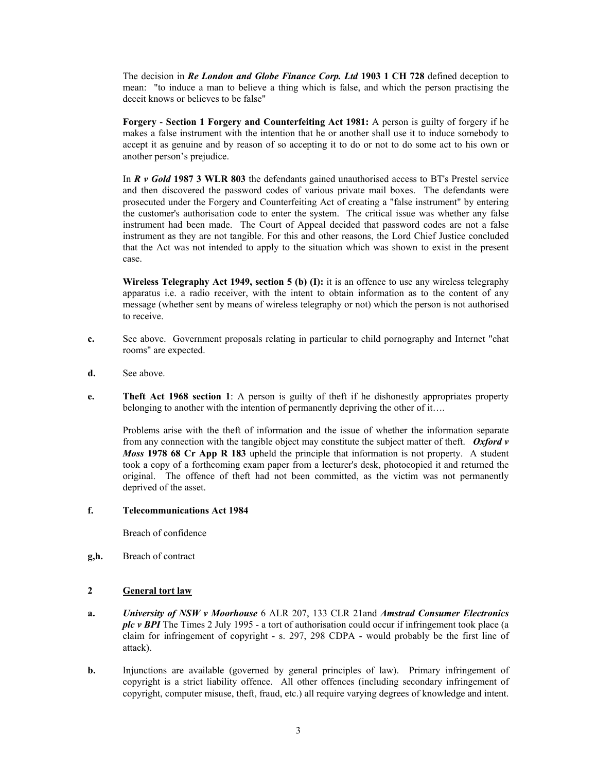The decision in *Re London and Globe Finance Corp. Ltd* **1903 1 CH 728** defined deception to mean: "to induce a man to believe a thing which is false, and which the person practising the deceit knows or believes to be false"

 **Forgery** - **Section 1 Forgery and Counterfeiting Act 1981:** A person is guilty of forgery if he makes a false instrument with the intention that he or another shall use it to induce somebody to accept it as genuine and by reason of so accepting it to do or not to do some act to his own or another person's prejudice.

In *R v Gold* **1987 3 WLR 803** the defendants gained unauthorised access to BT's Prestel service and then discovered the password codes of various private mail boxes. The defendants were prosecuted under the Forgery and Counterfeiting Act of creating a "false instrument" by entering the customer's authorisation code to enter the system. The critical issue was whether any false instrument had been made. The Court of Appeal decided that password codes are not a false instrument as they are not tangible. For this and other reasons, the Lord Chief Justice concluded that the Act was not intended to apply to the situation which was shown to exist in the present case.

**Wireless Telegraphy Act 1949, section 5 (b) (I):** it is an offence to use any wireless telegraphy apparatus i.e. a radio receiver, with the intent to obtain information as to the content of any message (whether sent by means of wireless telegraphy or not) which the person is not authorised to receive.

- **c.** See above. Government proposals relating in particular to child pornography and Internet "chat rooms" are expected.
- **d.** See above.
- **e. Theft Act 1968 section 1**: A person is guilty of theft if he dishonestly appropriates property belonging to another with the intention of permanently depriving the other of it….

Problems arise with the theft of information and the issue of whether the information separate from any connection with the tangible object may constitute the subject matter of theft. *Oxford v Moss* **1978 68 Cr App R 183** upheld the principle that information is not property. A student took a copy of a forthcoming exam paper from a lecturer's desk, photocopied it and returned the original. The offence of theft had not been committed, as the victim was not permanently deprived of the asset.

# **f. Telecommunications Act 1984**

Breach of confidence

**g,h.** Breach of contract

# **2 General tort law**

- **a.** *University of NSW v Moorhouse* 6 ALR 207, 133 CLR 21and *Amstrad Consumer Electronics plc v BPI* The Times 2 July 1995 - a tort of authorisation could occur if infringement took place (a claim for infringement of copyright - s. 297, 298 CDPA - would probably be the first line of attack).
- **b.** Injunctions are available (governed by general principles of law). Primary infringement of copyright is a strict liability offence. All other offences (including secondary infringement of copyright, computer misuse, theft, fraud, etc.) all require varying degrees of knowledge and intent.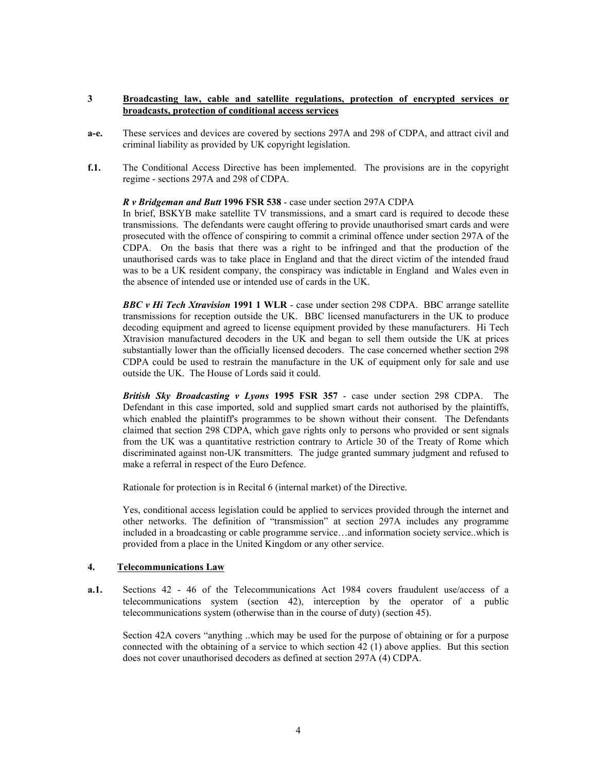# **3 Broadcasting law, cable and satellite regulations, protection of encrypted services or broadcasts, protection of conditional access services**

- **a-e.** These services and devices are covered by sections 297A and 298 of CDPA, and attract civil and criminal liability as provided by UK copyright legislation.
- **f.1.** The Conditional Access Directive has been implemented. The provisions are in the copyright regime - sections 297A and 298 of CDPA.

## *R v Bridgeman and Butt* **1996 FSR 538** - case under section 297A CDPA

In brief, BSKYB make satellite TV transmissions, and a smart card is required to decode these transmissions. The defendants were caught offering to provide unauthorised smart cards and were prosecuted with the offence of conspiring to commit a criminal offence under section 297A of the CDPA. On the basis that there was a right to be infringed and that the production of the unauthorised cards was to take place in England and that the direct victim of the intended fraud was to be a UK resident company, the conspiracy was indictable in England and Wales even in the absence of intended use or intended use of cards in the UK.

*BBC v Hi Tech Xtravision* **1991 1 WLR** - case under section 298 CDPA. BBC arrange satellite transmissions for reception outside the UK. BBC licensed manufacturers in the UK to produce decoding equipment and agreed to license equipment provided by these manufacturers. Hi Tech Xtravision manufactured decoders in the UK and began to sell them outside the UK at prices substantially lower than the officially licensed decoders. The case concerned whether section 298 CDPA could be used to restrain the manufacture in the UK of equipment only for sale and use outside the UK. The House of Lords said it could.

*British Sky Broadcasting v Lyons* **1995 FSR 357** - case under section 298 CDPA. The Defendant in this case imported, sold and supplied smart cards not authorised by the plaintiffs, which enabled the plaintiff's programmes to be shown without their consent. The Defendants claimed that section 298 CDPA, which gave rights only to persons who provided or sent signals from the UK was a quantitative restriction contrary to Article 30 of the Treaty of Rome which discriminated against non-UK transmitters. The judge granted summary judgment and refused to make a referral in respect of the Euro Defence.

Rationale for protection is in Recital 6 (internal market) of the Directive.

Yes, conditional access legislation could be applied to services provided through the internet and other networks. The definition of "transmission" at section 297A includes any programme included in a broadcasting or cable programme service…and information society service..which is provided from a place in the United Kingdom or any other service.

# **4. Telecommunications Law**

**a.1.** Sections 42 - 46 of the Telecommunications Act 1984 covers fraudulent use/access of a telecommunications system (section 42), interception by the operator of a public telecommunications system (otherwise than in the course of duty) (section 45).

Section 42A covers "anything ..which may be used for the purpose of obtaining or for a purpose connected with the obtaining of a service to which section 42 (1) above applies. But this section does not cover unauthorised decoders as defined at section 297A (4) CDPA.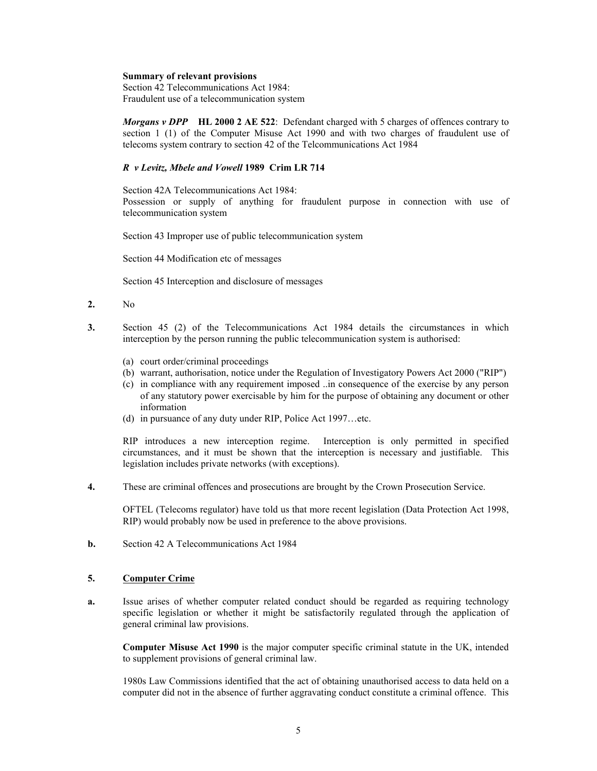#### **Summary of relevant provisions**

Section 42 Telecommunications Act 1984: Fraudulent use of a telecommunication system

*Morgans v DPP* **HL 2000 2 AE 522**: Defendant charged with 5 charges of offences contrary to section 1 (1) of the Computer Misuse Act 1990 and with two charges of fraudulent use of telecoms system contrary to section 42 of the Telcommunications Act 1984

### *R v Levitz, Mbele and Vowell* **1989 Crim LR 714**

Section 42A Telecommunications Act 1984:

Possession or supply of anything for fraudulent purpose in connection with use of telecommunication system

Section 43 Improper use of public telecommunication system

Section 44 Modification etc of messages

Section 45 Interception and disclosure of messages

- **2.** No
- **3.** Section 45 (2) of the Telecommunications Act 1984 details the circumstances in which interception by the person running the public telecommunication system is authorised:
	- (a) court order/criminal proceedings
	- (b) warrant, authorisation, notice under the Regulation of Investigatory Powers Act 2000 ("RIP")
	- (c) in compliance with any requirement imposed ..in consequence of the exercise by any person of any statutory power exercisable by him for the purpose of obtaining any document or other information
	- (d) in pursuance of any duty under RIP, Police Act 1997…etc.

RIP introduces a new interception regime. Interception is only permitted in specified circumstances, and it must be shown that the interception is necessary and justifiable. This legislation includes private networks (with exceptions).

**4.** These are criminal offences and prosecutions are brought by the Crown Prosecution Service.

OFTEL (Telecoms regulator) have told us that more recent legislation (Data Protection Act 1998, RIP) would probably now be used in preference to the above provisions.

**b.** Section 42 A Telecommunications Act 1984

# **5. Computer Crime**

**a.** Issue arises of whether computer related conduct should be regarded as requiring technology specific legislation or whether it might be satisfactorily regulated through the application of general criminal law provisions.

**Computer Misuse Act 1990** is the major computer specific criminal statute in the UK, intended to supplement provisions of general criminal law.

1980s Law Commissions identified that the act of obtaining unauthorised access to data held on a computer did not in the absence of further aggravating conduct constitute a criminal offence. This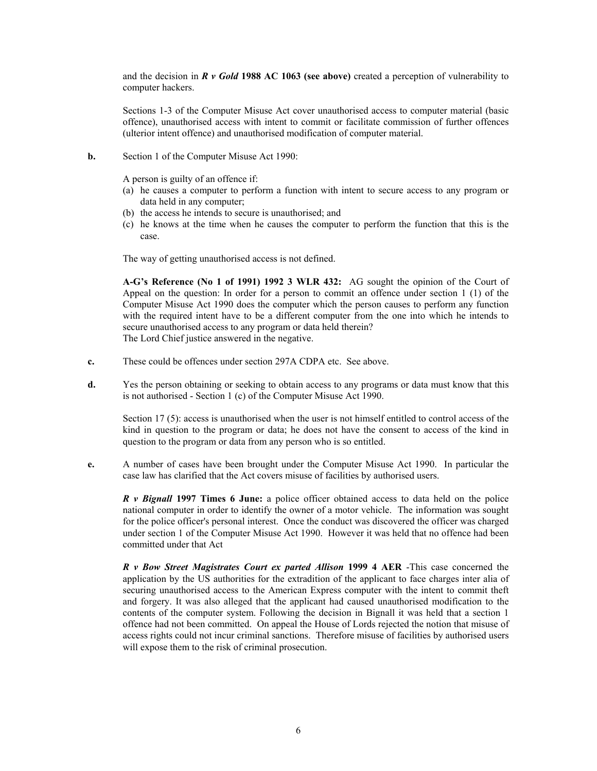and the decision in *R v Gold* **1988 AC 1063 (see above)** created a perception of vulnerability to computer hackers.

Sections 1-3 of the Computer Misuse Act cover unauthorised access to computer material (basic offence), unauthorised access with intent to commit or facilitate commission of further offences (ulterior intent offence) and unauthorised modification of computer material.

**b.** Section 1 of the Computer Misuse Act 1990:

A person is guilty of an offence if:

- (a) he causes a computer to perform a function with intent to secure access to any program or data held in any computer;
- (b) the access he intends to secure is unauthorised; and
- (c) he knows at the time when he causes the computer to perform the function that this is the case.

The way of getting unauthorised access is not defined.

**A-G's Reference (No 1 of 1991) 1992 3 WLR 432:** AG sought the opinion of the Court of Appeal on the question: In order for a person to commit an offence under section 1 (1) of the Computer Misuse Act 1990 does the computer which the person causes to perform any function with the required intent have to be a different computer from the one into which he intends to secure unauthorised access to any program or data held therein? The Lord Chief justice answered in the negative.

- **c.** These could be offences under section 297A CDPA etc. See above.
- **d.** Yes the person obtaining or seeking to obtain access to any programs or data must know that this is not authorised - Section 1 (c) of the Computer Misuse Act 1990.

Section 17 (5): access is unauthorised when the user is not himself entitled to control access of the kind in question to the program or data; he does not have the consent to access of the kind in question to the program or data from any person who is so entitled.

**e.** A number of cases have been brought under the Computer Misuse Act 1990. In particular the case law has clarified that the Act covers misuse of facilities by authorised users.

*R v Bignall* **1997 Times 6 June:** a police officer obtained access to data held on the police national computer in order to identify the owner of a motor vehicle. The information was sought for the police officer's personal interest. Once the conduct was discovered the officer was charged under section 1 of the Computer Misuse Act 1990. However it was held that no offence had been committed under that Act

*R v Bow Street Magistrates Court ex parted Allison* **1999 4 AER** -This case concerned the application by the US authorities for the extradition of the applicant to face charges inter alia of securing unauthorised access to the American Express computer with the intent to commit theft and forgery. It was also alleged that the applicant had caused unauthorised modification to the contents of the computer system. Following the decision in Bignall it was held that a section 1 offence had not been committed. On appeal the House of Lords rejected the notion that misuse of access rights could not incur criminal sanctions. Therefore misuse of facilities by authorised users will expose them to the risk of criminal prosecution.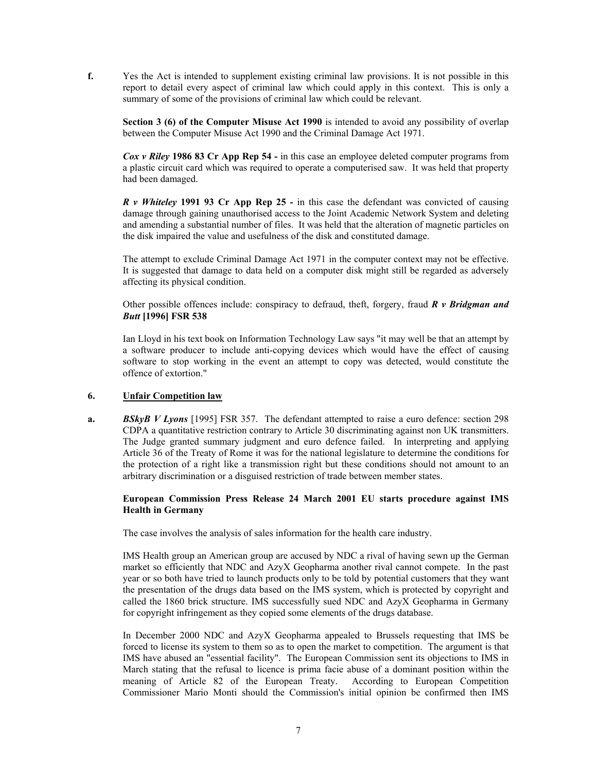**f.** Yes the Act is intended to supplement existing criminal law provisions. It is not possible in this report to detail every aspect of criminal law which could apply in this context. This is only a summary of some of the provisions of criminal law which could be relevant.

**Section 3 (6) of the Computer Misuse Act 1990** is intended to avoid any possibility of overlap between the Computer Misuse Act 1990 and the Criminal Damage Act 1971.

*Cox v Riley* **1986 83 Cr App Rep 54 -** in this case an employee deleted computer programs from a plastic circuit card which was required to operate a computerised saw. It was held that property had been damaged.

*R v Whiteley* **1991 93 Cr App Rep 25 -** in this case the defendant was convicted of causing damage through gaining unauthorised access to the Joint Academic Network System and deleting and amending a substantial number of files. It was held that the alteration of magnetic particles on the disk impaired the value and usefulness of the disk and constituted damage.

The attempt to exclude Criminal Damage Act 1971 in the computer context may not be effective. It is suggested that damage to data held on a computer disk might still be regarded as adversely affecting its physical condition.

Other possible offences include: conspiracy to defraud, theft, forgery, fraud *R v Bridgman and Butt* **[1996] FSR 538** 

Ian Lloyd in his text book on Information Technology Law says "it may well be that an attempt by a software producer to include anti-copying devices which would have the effect of causing software to stop working in the event an attempt to copy was detected, would constitute the offence of extortion."

## **6. Unfair Competition law**

**a.** *BSkyB V Lyons* [1995] FSR 357. The defendant attempted to raise a euro defence: section 298 CDPA a quantitative restriction contrary to Article 30 discriminating against non UK transmitters. The Judge granted summary judgment and euro defence failed. In interpreting and applying Article 36 of the Treaty of Rome it was for the national legislature to determine the conditions for the protection of a right like a transmission right but these conditions should not amount to an arbitrary discrimination or a disguised restriction of trade between member states.

## **European Commission Press Release 24 March 2001 EU starts procedure against IMS Health in Germany**

The case involves the analysis of sales information for the health care industry.

IMS Health group an American group are accused by NDC a rival of having sewn up the German market so efficiently that NDC and AzyX Geopharma another rival cannot compete. In the past year or so both have tried to launch products only to be told by potential customers that they want the presentation of the drugs data based on the IMS system, which is protected by copyright and called the 1860 brick structure. IMS successfully sued NDC and AzyX Geopharma in Germany for copyright infringement as they copied some elements of the drugs database.

In December 2000 NDC and AzyX Geopharma appealed to Brussels requesting that IMS be forced to license its system to them so as to open the market to competition. The argument is that IMS have abused an "essential facility". The European Commission sent its objections to IMS in March stating that the refusal to licence is prima facie abuse of a dominant position within the meaning of Article 82 of the European Treaty. According to European Competition Commissioner Mario Monti should the Commission's initial opinion be confirmed then IMS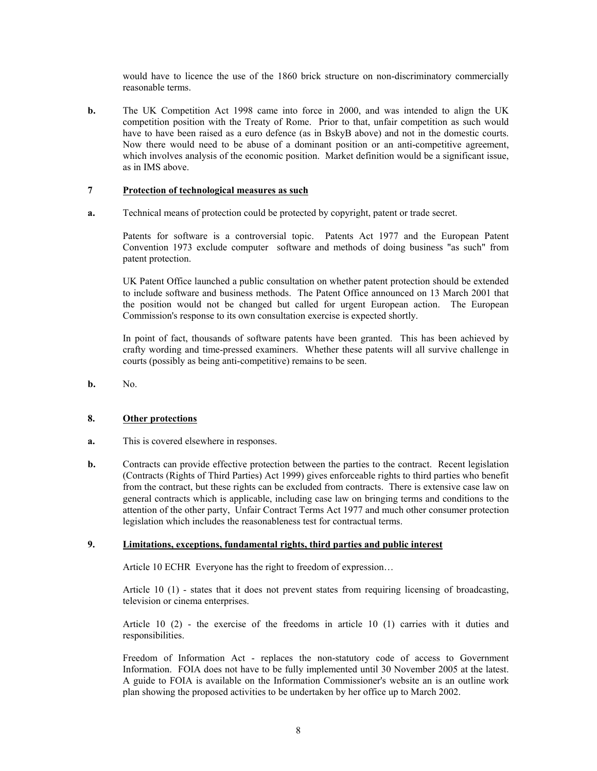would have to licence the use of the 1860 brick structure on non-discriminatory commercially reasonable terms.

**b.** The UK Competition Act 1998 came into force in 2000, and was intended to align the UK competition position with the Treaty of Rome. Prior to that, unfair competition as such would have to have been raised as a euro defence (as in BskyB above) and not in the domestic courts. Now there would need to be abuse of a dominant position or an anti-competitive agreement, which involves analysis of the economic position. Market definition would be a significant issue, as in IMS above.

## **7 Protection of technological measures as such**

**a.** Technical means of protection could be protected by copyright, patent or trade secret.

Patents for software is a controversial topic. Patents Act 1977 and the European Patent Convention 1973 exclude computer software and methods of doing business "as such" from patent protection.

UK Patent Office launched a public consultation on whether patent protection should be extended to include software and business methods. The Patent Office announced on 13 March 2001 that the position would not be changed but called for urgent European action. The European Commission's response to its own consultation exercise is expected shortly.

In point of fact, thousands of software patents have been granted. This has been achieved by crafty wording and time-pressed examiners. Whether these patents will all survive challenge in courts (possibly as being anti-competitive) remains to be seen.

**b.** No.

# **8. Other protections**

- **a.** This is covered elsewhere in responses.
- **b.** Contracts can provide effective protection between the parties to the contract. Recent legislation (Contracts (Rights of Third Parties) Act 1999) gives enforceable rights to third parties who benefit from the contract, but these rights can be excluded from contracts. There is extensive case law on general contracts which is applicable, including case law on bringing terms and conditions to the attention of the other party, Unfair Contract Terms Act 1977 and much other consumer protection legislation which includes the reasonableness test for contractual terms.

### **9. Limitations, exceptions, fundamental rights, third parties and public interest**

Article 10 ECHR Everyone has the right to freedom of expression…

Article 10 (1) - states that it does not prevent states from requiring licensing of broadcasting, television or cinema enterprises.

Article 10 (2) - the exercise of the freedoms in article 10 (1) carries with it duties and responsibilities.

Freedom of Information Act - replaces the non-statutory code of access to Government Information. FOIA does not have to be fully implemented until 30 November 2005 at the latest. A guide to FOIA is available on the Information Commissioner's website an is an outline work plan showing the proposed activities to be undertaken by her office up to March 2002.